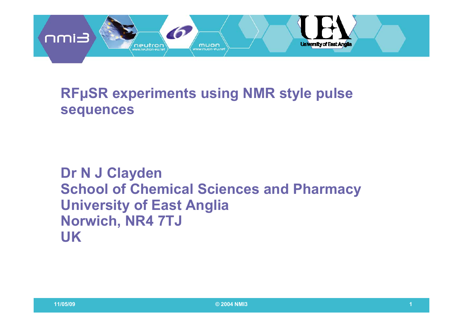

### **RFµSR** experiments using NMR style pulse **sequences**

## **Dr N J Clayden School of Chemical Sciences and Pharmacy U i it f E t A li University of East Anglia Norwich, NR4 7TJ UK**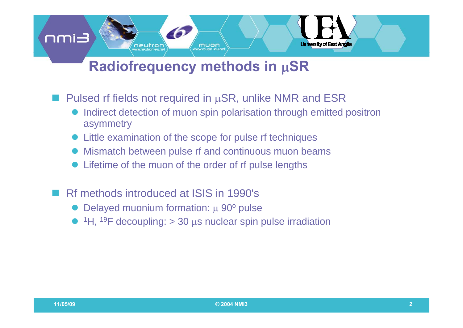## **Radiofrequency methods in**  μ**SR**

muon

■ Pulsed rf fields not required in μSR, unlike NMR and ESR

 $\bullet$  Indirect detection of muon spin polarisation through emitted positron asymmetry

**University of East Anglia** 

- Little examination of the scope for pulse rf techniques
- $\bullet$ Mismatch between pulse rf and continuous muon beams
- $\bullet$ Lifetime of the muon of the order of rf pulse lengths
- Rf methods introduced at ISIS in 1990's

neutron

- Delayed muonium formation:  $\mu$  90 $\textdegree$  pulse
- ${}^{1}$ H,  ${}^{19}$ F decoupling: > 30 µs nuclear spin pulse irradiation

**Eimn**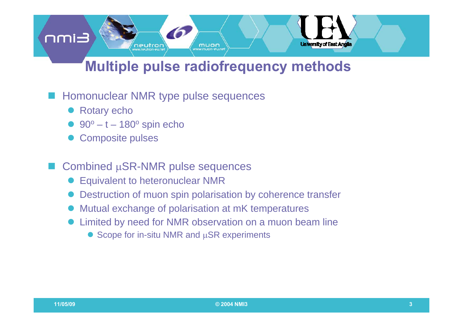# **Multiple pulse radiofrequency methods**

muon

**University of East Anglia** 

### Homonuclear NMR type pulse sequences

neutron

• Rotary echo

**Eimn** 

- $\bullet$  90 $\circ$  t 180 $\circ$  spin echo
- Composite pulses

#### ■ Combined µSR-NMR pulse sequences

- **Equivalent to heteronuclear NMR**
- Destruction of muon spin polarisation by coherence transfer
- $\bullet$ Mutual exchange of polarisation at mK temperatures
- $\bullet$  Limited by need for NMR observation on a muon beam line
	- $\bullet$  Scope for in-situ NMR and  $\mu$ SR experiments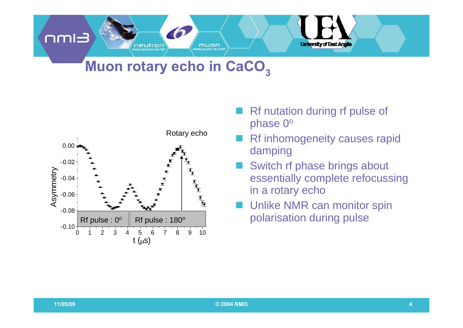# **Muon rotary echo in CaCO 3**

muon

neutron



- Rf nutation during rf pulse of phase  $0^\text{o}$
- Rf inhomogeneity causes rapid damping

**University of East Anglia** 

- Switch rf phase brings about essentially complete refocussing in a rotary echo
- Unlike NMR can monitor spin polarisation during pulse

**Eimn**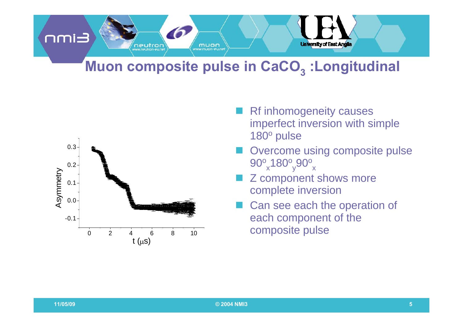#### **Eimn University of East Anglia** neutron muon

# **Muon composite pulse in CaCO 3 :Longitudinal**



- Rf inhomogeneity causes imperfect inversion with simple 180º pulse
- Overcome using composite pulse  $90^\mathrm{o}$  ,180 $^\mathrm{o}$  ,90 $^\mathrm{o}$  $_\mathrm{x}$ 180 $^\mathrm{o}$ <sub>y</sub>90 $^\mathrm{o}$ <sub>x</sub>
- Z component shows more complete inversion
- Can see each the operation of each component of the  $\overline{4}$   $\overline{6}$   $\overline{8}$   $\overline{10}$  composite pulse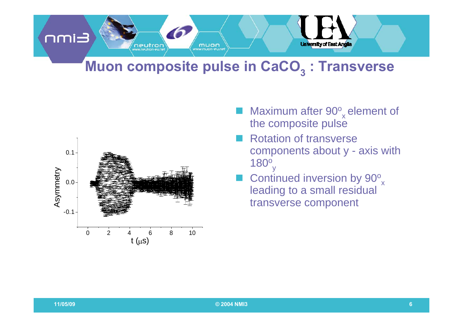

## **Muon composite pulse in CaCO 3 : Transverse**



- Maximum after 90<sup>o</sup>  $_{\mathrm{x}}$ element of the composite pulse
- Rotation of transverse components about y - axis with 180 $^{\rm o}$ y
- **Continued inversion by**  $90^\circ$ leading to a small residual transverse component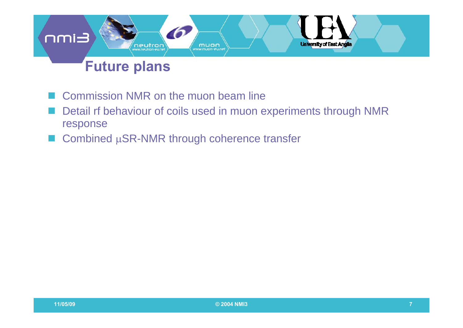#### **Eimn** University of East Anglia neutron muon www.muan-eu.ne

# **Future plans**

- Commission NMR on the muon beam line
- Detail rf behaviour of coils used in muon experiments through NMR response
- Combined μSR-NMR through coherence transfer